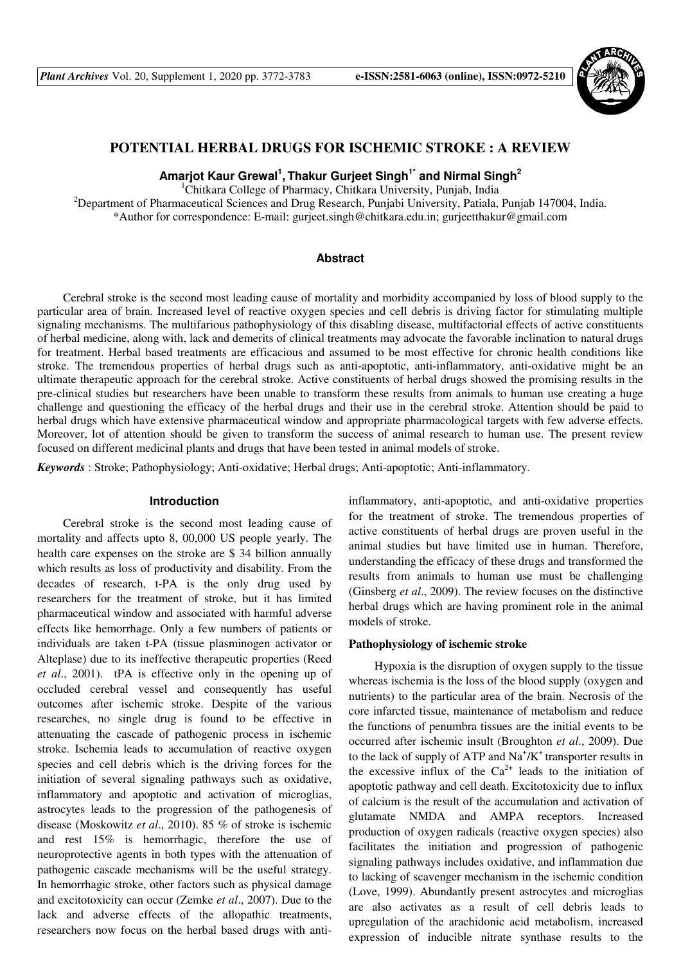

# **POTENTIAL HERBAL DRUGS FOR ISCHEMIC STROKE : A REVIEW**

**Amarjot Kaur Grewal<sup>1</sup> , Thakur Gurjeet Singh1\* and Nirmal Singh<sup>2</sup>** 

<sup>1</sup>Chitkara College of Pharmacy, Chitkara University, Punjab, India

<sup>2</sup>Department of Pharmaceutical Sciences and Drug Research, Punjabi University, Patiala, Punjab 147004, India. \*Author for correspondence: E-mail: gurjeet.singh@chitkara.edu.in; gurjeetthakur@gmail.com

## **Abstract**

Cerebral stroke is the second most leading cause of mortality and morbidity accompanied by loss of blood supply to the particular area of brain. Increased level of reactive oxygen species and cell debris is driving factor for stimulating multiple signaling mechanisms. The multifarious pathophysiology of this disabling disease, multifactorial effects of active constituents of herbal medicine, along with, lack and demerits of clinical treatments may advocate the favorable inclination to natural drugs for treatment. Herbal based treatments are efficacious and assumed to be most effective for chronic health conditions like stroke. The tremendous properties of herbal drugs such as anti-apoptotic, anti-inflammatory, anti-oxidative might be an ultimate therapeutic approach for the cerebral stroke. Active constituents of herbal drugs showed the promising results in the pre-clinical studies but researchers have been unable to transform these results from animals to human use creating a huge challenge and questioning the efficacy of the herbal drugs and their use in the cerebral stroke. Attention should be paid to herbal drugs which have extensive pharmaceutical window and appropriate pharmacological targets with few adverse effects. Moreover, lot of attention should be given to transform the success of animal research to human use. The present review focused on different medicinal plants and drugs that have been tested in animal models of stroke.

*Keywords* : Stroke; Pathophysiology; Anti-oxidative; Herbal drugs; Anti-apoptotic; Anti-inflammatory.

#### **Introduction**

Cerebral stroke is the second most leading cause of mortality and affects upto 8, 00,000 US people yearly. The health care expenses on the stroke are \$ 34 billion annually which results as loss of productivity and disability. From the decades of research, t-PA is the only drug used by researchers for the treatment of stroke, but it has limited pharmaceutical window and associated with harmful adverse effects like hemorrhage. Only a few numbers of patients or individuals are taken t-PA (tissue plasminogen activator or Alteplase) due to its ineffective therapeutic properties (Reed *et al*., 2001). tPA is effective only in the opening up of occluded cerebral vessel and consequently has useful outcomes after ischemic stroke. Despite of the various researches, no single drug is found to be effective in attenuating the cascade of pathogenic process in ischemic stroke. Ischemia leads to accumulation of reactive oxygen species and cell debris which is the driving forces for the initiation of several signaling pathways such as oxidative, inflammatory and apoptotic and activation of microglias, astrocytes leads to the progression of the pathogenesis of disease (Moskowitz *et al*., 2010). 85 % of stroke is ischemic and rest 15% is hemorrhagic, therefore the use of neuroprotective agents in both types with the attenuation of pathogenic cascade mechanisms will be the useful strategy. In hemorrhagic stroke, other factors such as physical damage and excitotoxicity can occur (Zemke *et al*., 2007). Due to the lack and adverse effects of the allopathic treatments, researchers now focus on the herbal based drugs with anti-

inflammatory, anti-apoptotic, and anti-oxidative properties for the treatment of stroke. The tremendous properties of active constituents of herbal drugs are proven useful in the animal studies but have limited use in human. Therefore, understanding the efficacy of these drugs and transformed the results from animals to human use must be challenging (Ginsberg *et al*., 2009). The review focuses on the distinctive herbal drugs which are having prominent role in the animal models of stroke.

## **Pathophysiology of ischemic stroke**

Hypoxia is the disruption of oxygen supply to the tissue whereas ischemia is the loss of the blood supply (oxygen and nutrients) to the particular area of the brain. Necrosis of the core infarcted tissue, maintenance of metabolism and reduce the functions of penumbra tissues are the initial events to be occurred after ischemic insult (Broughton *et al*., 2009). Due to the lack of supply of ATP and  $\text{Na}^{\dagger}/\text{K}^{\dagger}$  transporter results in the excessive influx of the  $Ca^{2+}$  leads to the initiation of apoptotic pathway and cell death. Excitotoxicity due to influx of calcium is the result of the accumulation and activation of glutamate NMDA and AMPA receptors. Increased production of oxygen radicals (reactive oxygen species) also facilitates the initiation and progression of pathogenic signaling pathways includes oxidative, and inflammation due to lacking of scavenger mechanism in the ischemic condition (Love, 1999). Abundantly present astrocytes and microglias are also activates as a result of cell debris leads to upregulation of the arachidonic acid metabolism, increased expression of inducible nitrate synthase results to the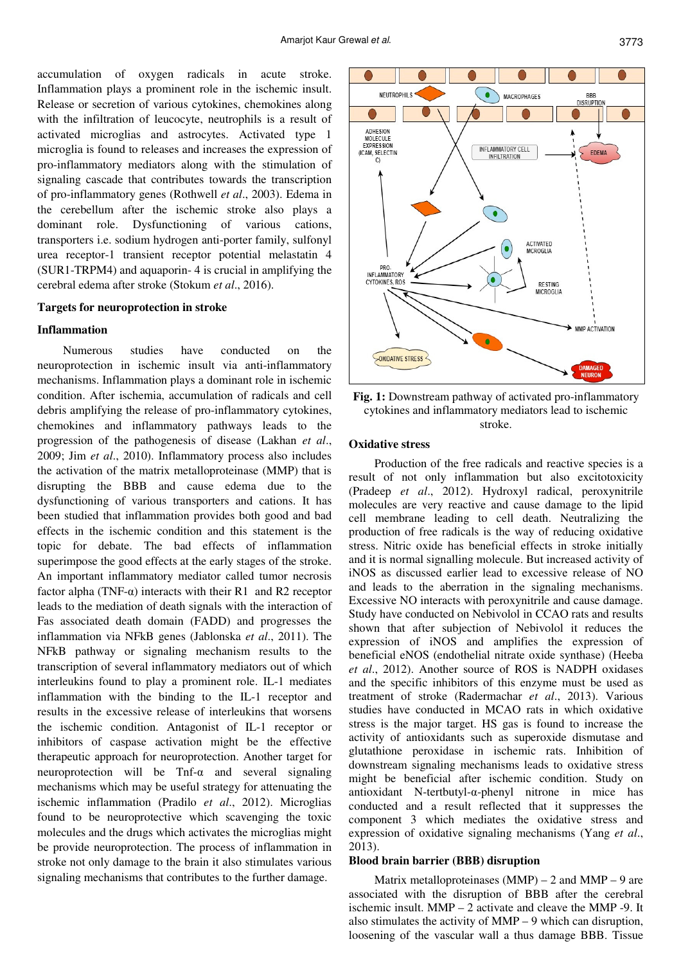accumulation of oxygen radicals in acute stroke. Inflammation plays a prominent role in the ischemic insult. Release or secretion of various cytokines, chemokines along with the infiltration of leucocyte, neutrophils is a result of activated microglias and astrocytes. Activated type 1 microglia is found to releases and increases the expression of pro-inflammatory mediators along with the stimulation of signaling cascade that contributes towards the transcription of pro-inflammatory genes (Rothwell *et al*., 2003). Edema in the cerebellum after the ischemic stroke also plays a dominant role. Dysfunctioning of various cations, transporters i.e. sodium hydrogen anti-porter family, sulfonyl urea receptor-1 transient receptor potential melastatin 4 (SUR1-TRPM4) and aquaporin- 4 is crucial in amplifying the cerebral edema after stroke (Stokum *et al*., 2016).

#### **Targets for neuroprotection in stroke**

## **Inflammation**

Numerous studies have conducted on the neuroprotection in ischemic insult via anti-inflammatory mechanisms. Inflammation plays a dominant role in ischemic condition. After ischemia, accumulation of radicals and cell debris amplifying the release of pro-inflammatory cytokines, chemokines and inflammatory pathways leads to the progression of the pathogenesis of disease (Lakhan *et al*., 2009; Jim *et al*., 2010). Inflammatory process also includes the activation of the matrix metalloproteinase (MMP) that is disrupting the BBB and cause edema due to the dysfunctioning of various transporters and cations. It has been studied that inflammation provides both good and bad effects in the ischemic condition and this statement is the topic for debate. The bad effects of inflammation superimpose the good effects at the early stages of the stroke. An important inflammatory mediator called tumor necrosis factor alpha (TNF- $\alpha$ ) interacts with their R1 and R2 receptor leads to the mediation of death signals with the interaction of Fas associated death domain (FADD) and progresses the inflammation via NFkB genes (Jablonska *et al*., 2011). The NFkB pathway or signaling mechanism results to the transcription of several inflammatory mediators out of which interleukins found to play a prominent role. IL-1 mediates inflammation with the binding to the IL-1 receptor and results in the excessive release of interleukins that worsens the ischemic condition. Antagonist of IL-1 receptor or inhibitors of caspase activation might be the effective therapeutic approach for neuroprotection. Another target for neuroprotection will be Tnf-α and several signaling mechanisms which may be useful strategy for attenuating the ischemic inflammation (Pradilo *et al*., 2012). Microglias found to be neuroprotective which scavenging the toxic molecules and the drugs which activates the microglias might be provide neuroprotection. The process of inflammation in stroke not only damage to the brain it also stimulates various signaling mechanisms that contributes to the further damage.



**Fig. 1:** Downstream pathway of activated pro-inflammatory cytokines and inflammatory mediators lead to ischemic stroke.

# **Oxidative stress**

Production of the free radicals and reactive species is a result of not only inflammation but also excitotoxicity (Pradeep *et al*., 2012). Hydroxyl radical, peroxynitrile molecules are very reactive and cause damage to the lipid cell membrane leading to cell death. Neutralizing the production of free radicals is the way of reducing oxidative stress. Nitric oxide has beneficial effects in stroke initially and it is normal signalling molecule. But increased activity of iNOS as discussed earlier lead to excessive release of NO and leads to the aberration in the signaling mechanisms. Excessive NO interacts with peroxynitrile and cause damage. Study have conducted on Nebivolol in CCAO rats and results shown that after subjection of Nebivolol it reduces the expression of iNOS and amplifies the expression of beneficial eNOS (endothelial nitrate oxide synthase) (Heeba *et al*., 2012). Another source of ROS is NADPH oxidases and the specific inhibitors of this enzyme must be used as treatment of stroke (Radermachar *et al*., 2013). Various studies have conducted in MCAO rats in which oxidative stress is the major target. HS gas is found to increase the activity of antioxidants such as superoxide dismutase and glutathione peroxidase in ischemic rats. Inhibition of downstream signaling mechanisms leads to oxidative stress might be beneficial after ischemic condition. Study on antioxidant N-tertbutyl-α-phenyl nitrone in mice has conducted and a result reflected that it suppresses the component 3 which mediates the oxidative stress and expression of oxidative signaling mechanisms (Yang *et al*., 2013).

## **Blood brain barrier (BBB) disruption**

Matrix metalloproteinases  $(MMP) - 2$  and  $MMP - 9$  are associated with the disruption of BBB after the cerebral ischemic insult. MMP – 2 activate and cleave the MMP -9. It also stimulates the activity of MMP – 9 which can disruption, loosening of the vascular wall a thus damage BBB. Tissue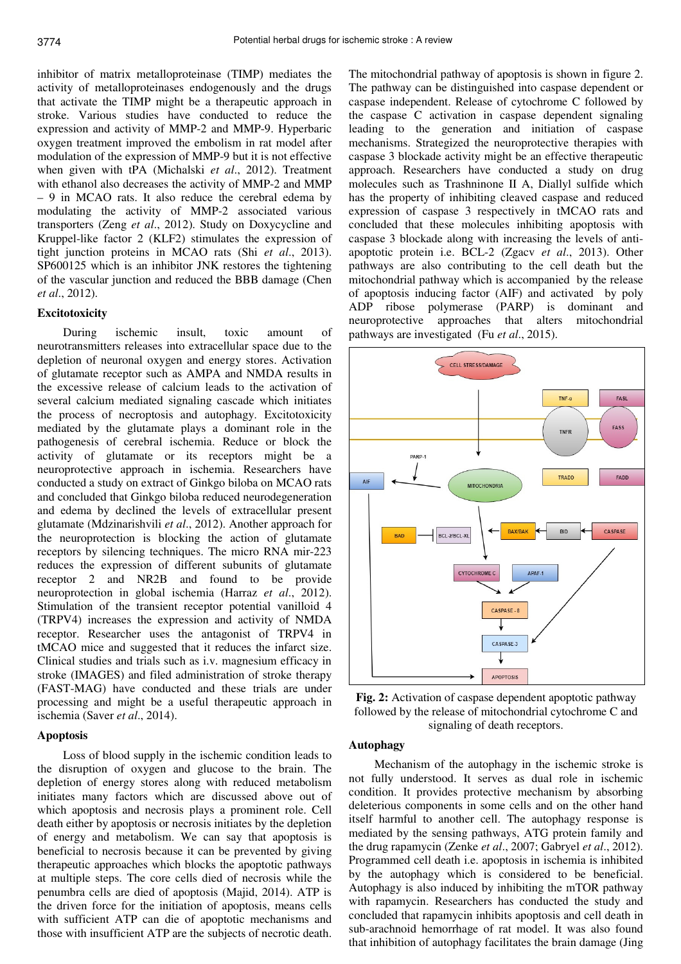inhibitor of matrix metalloproteinase (TIMP) mediates the activity of metalloproteinases endogenously and the drugs that activate the TIMP might be a therapeutic approach in stroke. Various studies have conducted to reduce the expression and activity of MMP-2 and MMP-9. Hyperbaric oxygen treatment improved the embolism in rat model after modulation of the expression of MMP-9 but it is not effective when given with tPA (Michalski *et al*., 2012). Treatment with ethanol also decreases the activity of MMP-2 and MMP – 9 in MCAO rats. It also reduce the cerebral edema by modulating the activity of MMP-2 associated various transporters (Zeng *et al*., 2012). Study on Doxycycline and Kruppel-like factor 2 (KLF2) stimulates the expression of tight junction proteins in MCAO rats (Shi *et al*., 2013). SP600125 which is an inhibitor JNK restores the tightening of the vascular junction and reduced the BBB damage (Chen *et al*., 2012).

#### **Excitotoxicity**

During ischemic insult, toxic amount of neurotransmitters releases into extracellular space due to the depletion of neuronal oxygen and energy stores. Activation of glutamate receptor such as AMPA and NMDA results in the excessive release of calcium leads to the activation of several calcium mediated signaling cascade which initiates the process of necroptosis and autophagy. Excitotoxicity mediated by the glutamate plays a dominant role in the pathogenesis of cerebral ischemia. Reduce or block the activity of glutamate or its receptors might be a neuroprotective approach in ischemia. Researchers have conducted a study on extract of Ginkgo biloba on MCAO rats and concluded that Ginkgo biloba reduced neurodegeneration and edema by declined the levels of extracellular present glutamate (Mdzinarishvili *et al*., 2012). Another approach for the neuroprotection is blocking the action of glutamate receptors by silencing techniques. The micro RNA mir-223 reduces the expression of different subunits of glutamate receptor 2 and NR2B and found to be provide neuroprotection in global ischemia (Harraz *et al*., 2012). Stimulation of the transient receptor potential vanilloid 4 (TRPV4) increases the expression and activity of NMDA receptor. Researcher uses the antagonist of TRPV4 in tMCAO mice and suggested that it reduces the infarct size. Clinical studies and trials such as i.v. magnesium efficacy in stroke (IMAGES) and filed administration of stroke therapy (FAST-MAG) have conducted and these trials are under processing and might be a useful therapeutic approach in ischemia (Saver *et al*., 2014).

#### **Apoptosis**

Loss of blood supply in the ischemic condition leads to the disruption of oxygen and glucose to the brain. The depletion of energy stores along with reduced metabolism initiates many factors which are discussed above out of which apoptosis and necrosis plays a prominent role. Cell death either by apoptosis or necrosis initiates by the depletion of energy and metabolism. We can say that apoptosis is beneficial to necrosis because it can be prevented by giving therapeutic approaches which blocks the apoptotic pathways at multiple steps. The core cells died of necrosis while the penumbra cells are died of apoptosis (Majid, 2014). ATP is the driven force for the initiation of apoptosis, means cells with sufficient ATP can die of apoptotic mechanisms and those with insufficient ATP are the subjects of necrotic death.

The mitochondrial pathway of apoptosis is shown in figure 2. The pathway can be distinguished into caspase dependent or caspase independent. Release of cytochrome C followed by the caspase C activation in caspase dependent signaling leading to the generation and initiation of caspase mechanisms. Strategized the neuroprotective therapies with caspase 3 blockade activity might be an effective therapeutic approach. Researchers have conducted a study on drug molecules such as Trashninone II A, Diallyl sulfide which has the property of inhibiting cleaved caspase and reduced expression of caspase 3 respectively in tMCAO rats and concluded that these molecules inhibiting apoptosis with caspase 3 blockade along with increasing the levels of antiapoptotic protein i.e. BCL-2 (Zgacv *et al*., 2013). Other pathways are also contributing to the cell death but the mitochondrial pathway which is accompanied by the release of apoptosis inducing factor (AIF) and activated by poly ADP ribose polymerase (PARP) is dominant and neuroprotective approaches that alters mitochondrial pathways are investigated (Fu *et al*., 2015).



**Fig. 2:** Activation of caspase dependent apoptotic pathway followed by the release of mitochondrial cytochrome C and signaling of death receptors.

# **Autophagy**

Mechanism of the autophagy in the ischemic stroke is not fully understood. It serves as dual role in ischemic condition. It provides protective mechanism by absorbing deleterious components in some cells and on the other hand itself harmful to another cell. The autophagy response is mediated by the sensing pathways, ATG protein family and the drug rapamycin (Zenke *et al*., 2007; Gabryel *et al*., 2012). Programmed cell death i.e. apoptosis in ischemia is inhibited by the autophagy which is considered to be beneficial. Autophagy is also induced by inhibiting the mTOR pathway with rapamycin. Researchers has conducted the study and concluded that rapamycin inhibits apoptosis and cell death in sub-arachnoid hemorrhage of rat model. It was also found that inhibition of autophagy facilitates the brain damage (Jing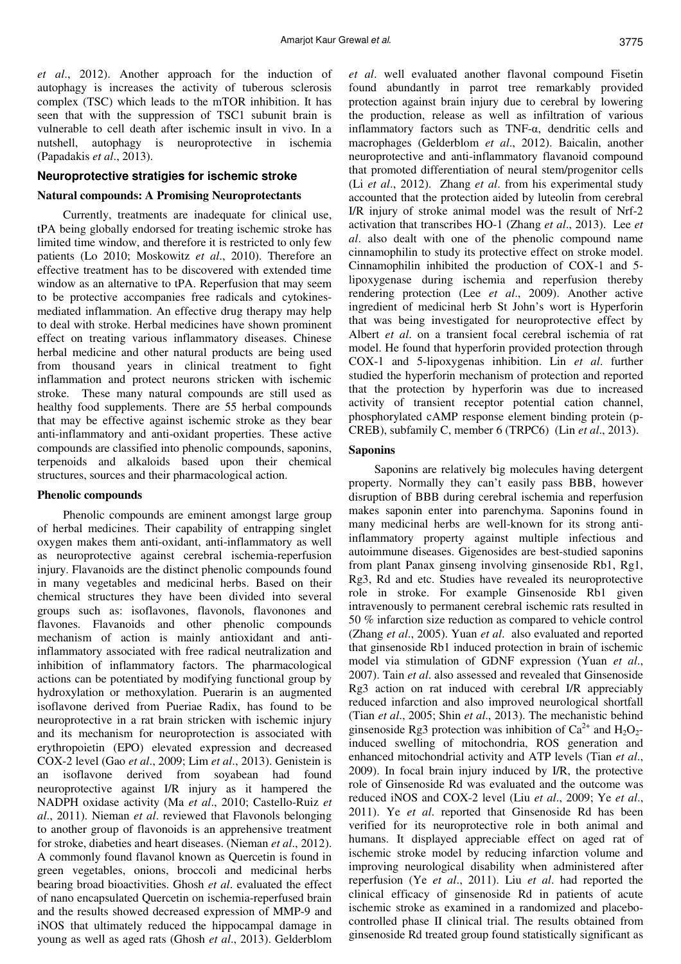*et al*., 2012). Another approach for the induction of autophagy is increases the activity of tuberous sclerosis complex (TSC) which leads to the mTOR inhibition. It has seen that with the suppression of TSC1 subunit brain is vulnerable to cell death after ischemic insult in vivo. In a nutshell, autophagy is neuroprotective in ischemia (Papadakis *et al*., 2013).

## **Neuroprotective stratigies for ischemic stroke**

### **Natural compounds: A Promising Neuroprotectants**

Currently, treatments are inadequate for clinical use, tPA being globally endorsed for treating ischemic stroke has limited time window, and therefore it is restricted to only few patients (Lo 2010; Moskowitz *et al*., 2010). Therefore an effective treatment has to be discovered with extended time window as an alternative to tPA. Reperfusion that may seem to be protective accompanies free radicals and cytokinesmediated inflammation. An effective drug therapy may help to deal with stroke. Herbal medicines have shown prominent effect on treating various inflammatory diseases. Chinese herbal medicine and other natural products are being used from thousand years in clinical treatment to fight inflammation and protect neurons stricken with ischemic stroke. These many natural compounds are still used as healthy food supplements. There are 55 herbal compounds that may be effective against ischemic stroke as they bear anti-inflammatory and anti-oxidant properties. These active compounds are classified into phenolic compounds, saponins, terpenoids and alkaloids based upon their chemical structures, sources and their pharmacological action.

#### **Phenolic compounds**

Phenolic compounds are eminent amongst large group of herbal medicines. Their capability of entrapping singlet oxygen makes them anti-oxidant, anti-inflammatory as well as neuroprotective against cerebral ischemia-reperfusion injury. Flavanoids are the distinct phenolic compounds found in many vegetables and medicinal herbs. Based on their chemical structures they have been divided into several groups such as: isoflavones, flavonols, flavonones and flavones. Flavanoids and other phenolic compounds mechanism of action is mainly antioxidant and antiinflammatory associated with free radical neutralization and inhibition of inflammatory factors. The pharmacological actions can be potentiated by modifying functional group by hydroxylation or methoxylation. Puerarin is an augmented isoflavone derived from Pueriae Radix, has found to be neuroprotective in a rat brain stricken with ischemic injury and its mechanism for neuroprotection is associated with erythropoietin (EPO) elevated expression and decreased COX-2 level (Gao *et al*., 2009; Lim *et al*., 2013). Genistein is an isoflavone derived from soyabean had found neuroprotective against I/R injury as it hampered the NADPH oxidase activity (Ma *et al*., 2010; Castello-Ruiz *et al*., 2011). Nieman *et al*. reviewed that Flavonols belonging to another group of flavonoids is an apprehensive treatment for stroke, diabeties and heart diseases. (Nieman *et al*., 2012). A commonly found flavanol known as Quercetin is found in green vegetables, onions, broccoli and medicinal herbs bearing broad bioactivities. Ghosh *et al*. evaluated the effect of nano encapsulated Quercetin on ischemia-reperfused brain and the results showed decreased expression of MMP-9 and iNOS that ultimately reduced the hippocampal damage in young as well as aged rats (Ghosh *et al*., 2013). Gelderblom

*et al*. well evaluated another flavonal compound Fisetin found abundantly in parrot tree remarkably provided protection against brain injury due to cerebral by lowering the production, release as well as infiltration of various inflammatory factors such as TNF-α, dendritic cells and macrophages (Gelderblom *et al*., 2012). Baicalin, another neuroprotective and anti-inflammatory flavanoid compound that promoted differentiation of neural stem/progenitor cells (Li *et al*., 2012). Zhang *et al*. from his experimental study accounted that the protection aided by luteolin from cerebral I/R injury of stroke animal model was the result of Nrf-2 activation that transcribes HO-1 (Zhang *et al*., 2013). Lee *et al*. also dealt with one of the phenolic compound name cinnamophilin to study its protective effect on stroke model. Cinnamophilin inhibited the production of COX-1 and 5 lipoxygenase during ischemia and reperfusion thereby rendering protection (Lee *et al*., 2009). Another active ingredient of medicinal herb St John's wort is Hyperforin that was being investigated for neuroprotective effect by Albert *et al*. on a transient focal cerebral ischemia of rat model. He found that hyperforin provided protection through COX-1 and 5-lipoxygenas inhibition. Lin *et al*. further studied the hyperforin mechanism of protection and reported that the protection by hyperforin was due to increased activity of transient receptor potential cation channel, phosphorylated cAMP response element binding protein (p-CREB), subfamily C, member 6 (TRPC6) (Lin *et al*., 2013).

#### **Saponins**

Saponins are relatively big molecules having detergent property. Normally they can't easily pass BBB, however disruption of BBB during cerebral ischemia and reperfusion makes saponin enter into parenchyma. Saponins found in many medicinal herbs are well-known for its strong antiinflammatory property against multiple infectious and autoimmune diseases. Gigenosides are best-studied saponins from plant Panax ginseng involving ginsenoside Rb1, Rg1, Rg3, Rd and etc. Studies have revealed its neuroprotective role in stroke. For example Ginsenoside Rb1 given intravenously to permanent cerebral ischemic rats resulted in 50 % infarction size reduction as compared to vehicle control (Zhang *et al*., 2005). Yuan *et al*. also evaluated and reported that ginsenoside Rb1 induced protection in brain of ischemic model via stimulation of GDNF expression (Yuan *et al*., 2007). Tain *et al*. also assessed and revealed that Ginsenoside Rg3 action on rat induced with cerebral I/R appreciably reduced infarction and also improved neurological shortfall (Tian *et al*., 2005; Shin *et al*., 2013). The mechanistic behind ginsenoside Rg3 protection was inhibition of  $Ca^{2+}$  and  $H_2O_2$ induced swelling of mitochondria, ROS generation and enhanced mitochondrial activity and ATP levels (Tian *et al*., 2009). In focal brain injury induced by I/R, the protective role of Ginsenoside Rd was evaluated and the outcome was reduced iNOS and COX-2 level (Liu *et al*., 2009; Ye *et al*., 2011). Ye *et al*. reported that Ginsenoside Rd has been verified for its neuroprotective role in both animal and humans. It displayed appreciable effect on aged rat of ischemic stroke model by reducing infarction volume and improving neurological disability when administered after reperfusion (Ye *et al*., 2011). Liu *et al*. had reported the clinical efficacy of ginsenoside Rd in patients of acute ischemic stroke as examined in a randomized and placebocontrolled phase II clinical trial. The results obtained from ginsenoside Rd treated group found statistically significant as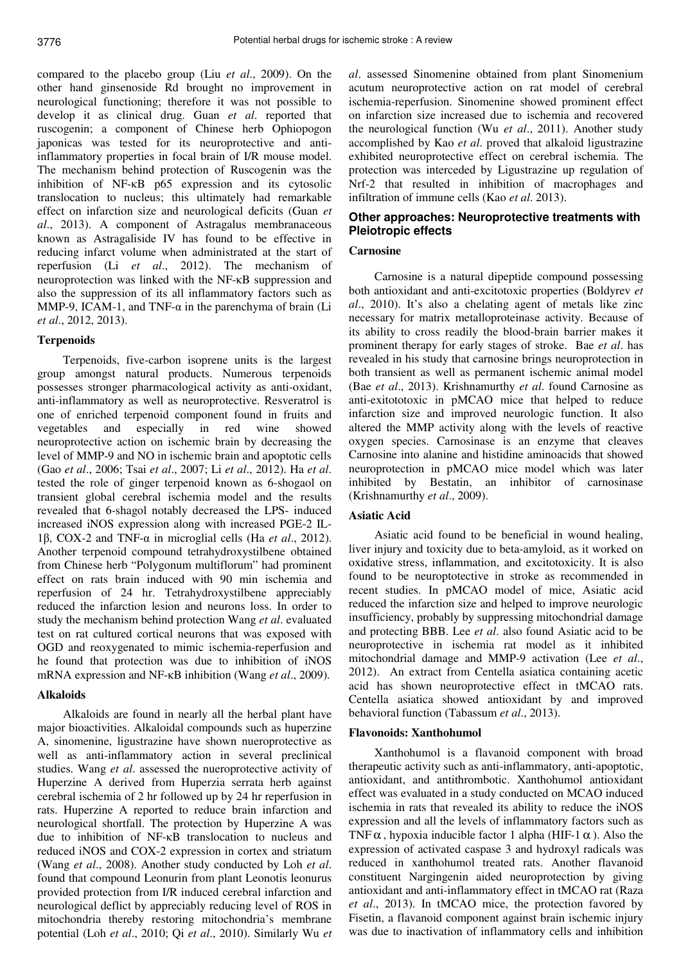compared to the placebo group (Liu *et al*., 2009). On the other hand ginsenoside Rd brought no improvement in neurological functioning; therefore it was not possible to develop it as clinical drug. Guan *et al*. reported that ruscogenin; a component of Chinese herb Ophiopogon japonicas was tested for its neuroprotective and antiinflammatory properties in focal brain of I/R mouse model. The mechanism behind protection of Ruscogenin was the inhibition of NF-κB p65 expression and its cytosolic translocation to nucleus; this ultimately had remarkable effect on infarction size and neurological deficits (Guan *et al*., 2013). A component of Astragalus membranaceous known as Astragaliside IV has found to be effective in reducing infarct volume when administrated at the start of reperfusion (Li *et al*., 2012). The mechanism of neuroprotection was linked with the NF-κB suppression and also the suppression of its all inflammatory factors such as MMP-9, ICAM-1, and TNF- $\alpha$  in the parenchyma of brain (Li *et al*., 2012, 2013).

#### **Terpenoids**

Terpenoids, five-carbon isoprene units is the largest group amongst natural products. Numerous terpenoids possesses stronger pharmacological activity as anti-oxidant, anti-inflammatory as well as neuroprotective. Resveratrol is one of enriched terpenoid component found in fruits and vegetables and especially in red wine showed neuroprotective action on ischemic brain by decreasing the level of MMP-9 and NO in ischemic brain and apoptotic cells (Gao *et al*., 2006; Tsai *et al*., 2007; Li *et al*., 2012). Ha *et al*. tested the role of ginger terpenoid known as 6-shogaol on transient global cerebral ischemia model and the results revealed that 6-shagol notably decreased the LPS- induced increased iNOS expression along with increased PGE-2 IL-1β, COX-2 and TNF-α in microglial cells (Ha *et al*., 2012). Another terpenoid compound tetrahydroxystilbene obtained from Chinese herb "Polygonum multiflorum" had prominent effect on rats brain induced with 90 min ischemia and reperfusion of 24 hr. Tetrahydroxystilbene appreciably reduced the infarction lesion and neurons loss. In order to study the mechanism behind protection Wang *et al*. evaluated test on rat cultured cortical neurons that was exposed with OGD and reoxygenated to mimic ischemia-reperfusion and he found that protection was due to inhibition of iNOS mRNA expression and NF-κB inhibition (Wang *et al*., 2009).

## **Alkaloids**

Alkaloids are found in nearly all the herbal plant have major bioactivities. Alkaloidal compounds such as huperzine A, sinomenine, ligustrazine have shown nueroprotective as well as anti-inflammatory action in several preclinical studies. Wang *et al*. assessed the nueroprotective activity of Huperzine A derived from Huperzia serrata herb against cerebral ischemia of 2 hr followed up by 24 hr reperfusion in rats. Huperzine A reported to reduce brain infarction and neurological shortfall. The protection by Huperzine A was due to inhibition of NF-κB translocation to nucleus and reduced iNOS and COX-2 expression in cortex and striatum (Wang *et al*., 2008). Another study conducted by Loh *et al*. found that compound Leonurin from plant Leonotis leonurus provided protection from I/R induced cerebral infarction and neurological deflict by appreciably reducing level of ROS in mitochondria thereby restoring mitochondria's membrane potential (Loh *et al*., 2010; Qi *et al*., 2010). Similarly Wu *et*  *al*. assessed Sinomenine obtained from plant Sinomenium acutum neuroprotective action on rat model of cerebral ischemia-reperfusion. Sinomenine showed prominent effect on infarction size increased due to ischemia and recovered the neurological function (Wu *et al*., 2011). Another study accomplished by Kao *et al*. proved that alkaloid ligustrazine exhibited neuroprotective effect on cerebral ischemia. The protection was interceded by Ligustrazine up regulation of Nrf-2 that resulted in inhibition of macrophages and infiltration of immune cells (Kao *et al*. 2013).

# **Other approaches: Neuroprotective treatments with Pleiotropic effects**

## **Carnosine**

Carnosine is a natural dipeptide compound possessing both antioxidant and anti-excitotoxic properties (Boldyrev *et al*., 2010). It's also a chelating agent of metals like zinc necessary for matrix metalloproteinase activity. Because of its ability to cross readily the blood-brain barrier makes it prominent therapy for early stages of stroke. Bae *et al*. has revealed in his study that carnosine brings neuroprotection in both transient as well as permanent ischemic animal model (Bae *et al*., 2013). Krishnamurthy *et al*. found Carnosine as anti-exitototoxic in pMCAO mice that helped to reduce infarction size and improved neurologic function. It also altered the MMP activity along with the levels of reactive oxygen species. Carnosinase is an enzyme that cleaves Carnosine into alanine and histidine aminoacids that showed neuroprotection in pMCAO mice model which was later inhibited by Bestatin, an inhibitor of carnosinase (Krishnamurthy *et al*., 2009).

#### **Asiatic Acid**

Asiatic acid found to be beneficial in wound healing, liver injury and toxicity due to beta-amyloid, as it worked on oxidative stress, inflammation, and excitotoxicity. It is also found to be neuroptotective in stroke as recommended in recent studies. In pMCAO model of mice, Asiatic acid reduced the infarction size and helped to improve neurologic insufficiency, probably by suppressing mitochondrial damage and protecting BBB. Lee *et al*. also found Asiatic acid to be neuroprotective in ischemia rat model as it inhibited mitochondrial damage and MMP-9 activation (Lee *et al*., 2012). An extract from Centella asiatica containing acetic acid has shown neuroprotective effect in tMCAO rats. Centella asiatica showed antioxidant by and improved behavioral function (Tabassum *et al*., 2013).

## **Flavonoids: Xanthohumol**

Xanthohumol is a flavanoid component with broad therapeutic activity such as anti-inflammatory, anti-apoptotic, antioxidant, and antithrombotic. Xanthohumol antioxidant effect was evaluated in a study conducted on MCAO induced ischemia in rats that revealed its ability to reduce the iNOS expression and all the levels of inflammatory factors such as TNF  $\alpha$ , hypoxia inducible factor 1 alpha (HIF-1  $\alpha$ ). Also the expression of activated caspase 3 and hydroxyl radicals was reduced in xanthohumol treated rats. Another flavanoid constituent Nargingenin aided neuroprotection by giving antioxidant and anti-inflammatory effect in tMCAO rat (Raza *et al*., 2013). In tMCAO mice, the protection favored by Fisetin, a flavanoid component against brain ischemic injury was due to inactivation of inflammatory cells and inhibition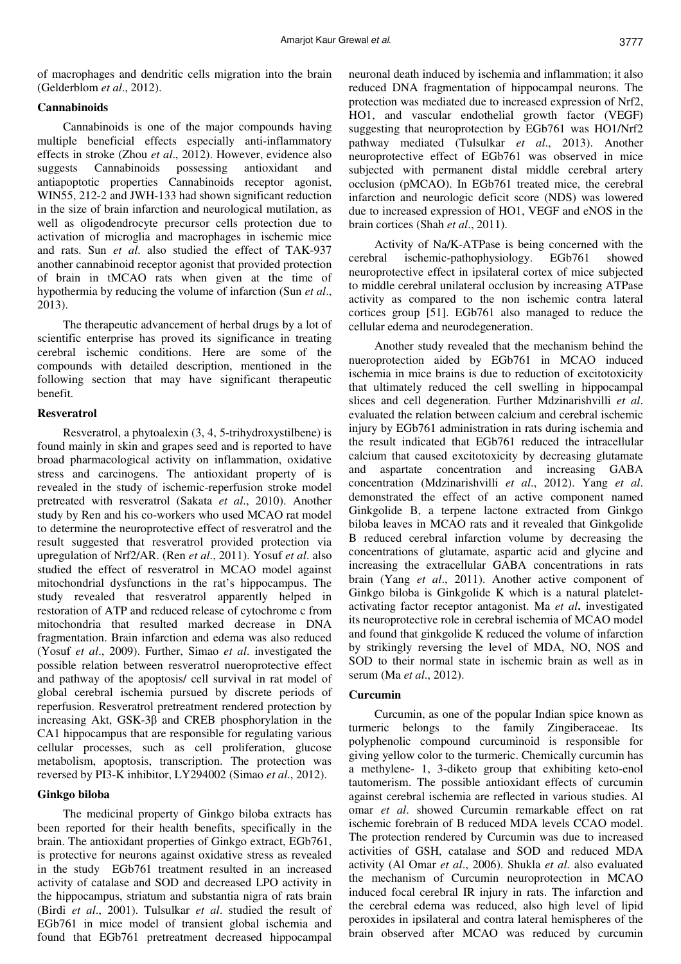of macrophages and dendritic cells migration into the brain (Gelderblom *et al*., 2012).

## **Cannabinoids**

Cannabinoids is one of the major compounds having multiple beneficial effects especially anti-inflammatory effects in stroke (Zhou *et al*., 2012). However, evidence also suggests Cannabinoids possessing antioxidant and antiapoptotic properties Cannabinoids receptor agonist, WIN55, 212-2 and JWH-133 had shown significant reduction in the size of brain infarction and neurological mutilation, as well as oligodendrocyte precursor cells protection due to activation of microglia and macrophages in ischemic mice and rats. Sun *et al*. also studied the effect of TAK-937 another cannabinoid receptor agonist that provided protection of brain in tMCAO rats when given at the time of hypothermia by reducing the volume of infarction (Sun *et al*., 2013).

The therapeutic advancement of herbal drugs by a lot of scientific enterprise has proved its significance in treating cerebral ischemic conditions. Here are some of the compounds with detailed description, mentioned in the following section that may have significant therapeutic benefit.

#### **Resveratrol**

Resveratrol, a phytoalexin (3, 4, 5-trihydroxystilbene) is found mainly in skin and grapes seed and is reported to have broad pharmacological activity on inflammation, oxidative stress and carcinogens. The antioxidant property of is revealed in the study of ischemic-reperfusion stroke model pretreated with resveratrol (Sakata *et al*., 2010). Another study by Ren and his co-workers who used MCAO rat model to determine the neuroprotective effect of resveratrol and the result suggested that resveratrol provided protection via upregulation of Nrf2/AR. (Ren *et al*., 2011). Yosuf *et al*. also studied the effect of resveratrol in MCAO model against mitochondrial dysfunctions in the rat's hippocampus. The study revealed that resveratrol apparently helped in restoration of ATP and reduced release of cytochrome c from mitochondria that resulted marked decrease in DNA fragmentation. Brain infarction and edema was also reduced (Yosuf *et al*., 2009). Further, Simao *et al*. investigated the possible relation between resveratrol nueroprotective effect and pathway of the apoptosis/ cell survival in rat model of global cerebral ischemia pursued by discrete periods of reperfusion. Resveratrol pretreatment rendered protection by increasing Akt, GSK-3β and CREB phosphorylation in the CA1 hippocampus that are responsible for regulating various cellular processes, such as cell proliferation, glucose metabolism, apoptosis, transcription. The protection was reversed by PI3-K inhibitor, LY294002 (Simao *et al*., 2012).

#### **Ginkgo biloba**

The medicinal property of Ginkgo biloba extracts has been reported for their health benefits, specifically in the brain. The antioxidant properties of Ginkgo extract, EGb761, is protective for neurons against oxidative stress as revealed in the study EGb761 treatment resulted in an increased activity of catalase and SOD and decreased LPO activity in the hippocampus, striatum and substantia nigra of rats brain (Birdi *et al*., 2001). Tulsulkar *et al*. studied the result of EGb761 in mice model of transient global ischemia and found that EGb761 pretreatment decreased hippocampal neuronal death induced by ischemia and inflammation; it also reduced DNA fragmentation of hippocampal neurons. The protection was mediated due to increased expression of Nrf2, HO1, and vascular endothelial growth factor (VEGF) suggesting that neuroprotection by EGb761 was HO1/Nrf2 pathway mediated (Tulsulkar *et al*., 2013). Another neuroprotective effect of EGb761 was observed in mice subjected with permanent distal middle cerebral artery occlusion (pMCAO). In EGb761 treated mice, the cerebral infarction and neurologic deficit score (NDS) was lowered due to increased expression of HO1, VEGF and eNOS in the brain cortices (Shah *et al*., 2011).

Activity of Na/K-ATPase is being concerned with the cerebral ischemic-pathophysiology. EGb761 showed neuroprotective effect in ipsilateral cortex of mice subjected to middle cerebral unilateral occlusion by increasing ATPase activity as compared to the non ischemic contra lateral cortices group [51]. EGb761 also managed to reduce the cellular edema and neurodegeneration.

Another study revealed that the mechanism behind the nueroprotection aided by EGb761 in MCAO induced ischemia in mice brains is due to reduction of excitotoxicity that ultimately reduced the cell swelling in hippocampal slices and cell degeneration. Further Mdzinarishvilli *et al*. evaluated the relation between calcium and cerebral ischemic injury by EGb761 administration in rats during ischemia and the result indicated that EGb761 reduced the intracellular calcium that caused excitotoxicity by decreasing glutamate and aspartate concentration and increasing GABA concentration (Mdzinarishvilli *et al*., 2012). Yang *et al*. demonstrated the effect of an active component named Ginkgolide B, a terpene lactone extracted from Ginkgo biloba leaves in MCAO rats and it revealed that Ginkgolide B reduced cerebral infarction volume by decreasing the concentrations of glutamate, aspartic acid and glycine and increasing the extracellular GABA concentrations in rats brain (Yang *et al*., 2011). Another active component of Ginkgo biloba is Ginkgolide K which is a natural plateletactivating factor receptor antagonist. Ma *et al***.** investigated its neuroprotective role in cerebral ischemia of MCAO model and found that ginkgolide K reduced the volume of infarction by strikingly reversing the level of MDA, NO, NOS and SOD to their normal state in ischemic brain as well as in serum (Ma *et al*., 2012).

# **Curcumin**

Curcumin, as one of the popular Indian spice known as turmeric belongs to the family Zingiberaceae. Its polyphenolic compound curcuminoid is responsible for giving yellow color to the turmeric. Chemically curcumin has a methylene- 1, 3-diketo group that exhibiting keto-enol tautomerism. The possible antioxidant effects of curcumin against cerebral ischemia are reflected in various studies. Al omar *et al*. showed Curcumin remarkable effect on rat ischemic forebrain of B reduced MDA levels CCAO model. The protection rendered by Curcumin was due to increased activities of GSH, catalase and SOD and reduced MDA activity (Al Omar *et al*., 2006). Shukla *et al*. also evaluated the mechanism of Curcumin neuroprotection in MCAO induced focal cerebral IR injury in rats. The infarction and the cerebral edema was reduced, also high level of lipid peroxides in ipsilateral and contra lateral hemispheres of the brain observed after MCAO was reduced by curcumin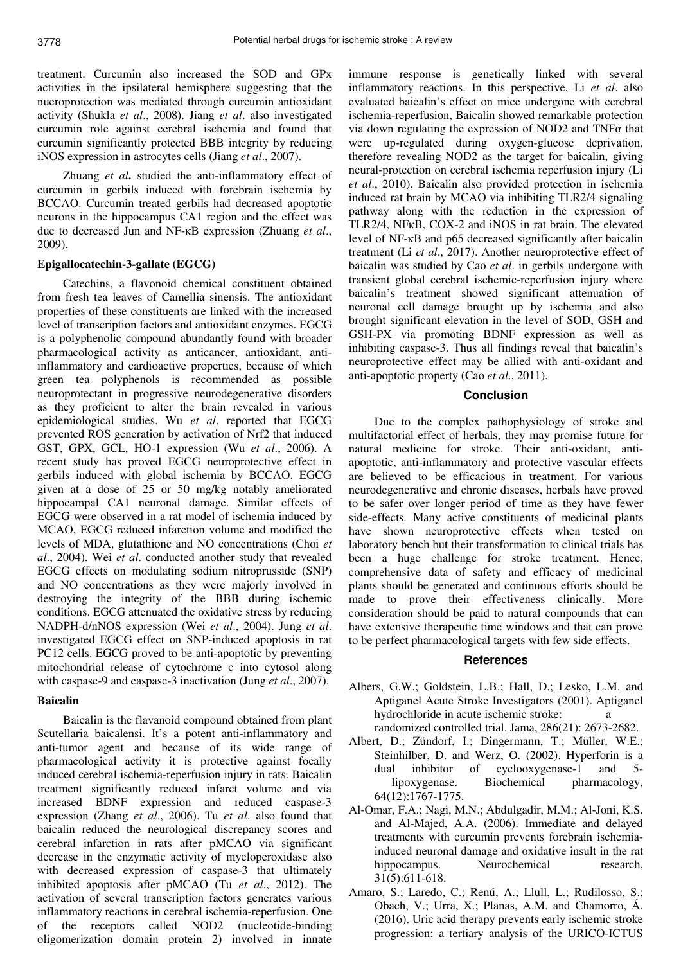treatment. Curcumin also increased the SOD and GPx activities in the ipsilateral hemisphere suggesting that the nueroprotection was mediated through curcumin antioxidant activity (Shukla *et al*., 2008). Jiang *et al*. also investigated curcumin role against cerebral ischemia and found that curcumin significantly protected BBB integrity by reducing iNOS expression in astrocytes cells (Jiang *et al*., 2007).

Zhuang *et al***.** studied the anti-inflammatory effect of curcumin in gerbils induced with forebrain ischemia by BCCAO. Curcumin treated gerbils had decreased apoptotic neurons in the hippocampus CA1 region and the effect was due to decreased Jun and NF-κB expression (Zhuang *et al*., 2009).

#### **Epigallocatechin-3-gallate (EGCG)**

Catechins, a flavonoid chemical constituent obtained from fresh tea leaves of Camellia sinensis. The antioxidant properties of these constituents are linked with the increased level of transcription factors and antioxidant enzymes. EGCG is a polyphenolic compound abundantly found with broader pharmacological activity as anticancer, antioxidant, antiinflammatory and cardioactive properties, because of which green tea polyphenols is recommended as possible neuroprotectant in progressive neurodegenerative disorders as they proficient to alter the brain revealed in various epidemiological studies. Wu *et al*. reported that EGCG prevented ROS generation by activation of Nrf2 that induced GST, GPX, GCL, HO-1 expression (Wu *et al*., 2006). A recent study has proved EGCG neuroprotective effect in gerbils induced with global ischemia by BCCAO. EGCG given at a dose of 25 or 50 mg/kg notably ameliorated hippocampal CA1 neuronal damage. Similar effects of EGCG were observed in a rat model of ischemia induced by MCAO, EGCG reduced infarction volume and modified the levels of MDA, glutathione and NO concentrations (Choi *et al*., 2004). Wei *et al*. conducted another study that revealed EGCG effects on modulating sodium nitroprusside (SNP) and NO concentrations as they were majorly involved in destroying the integrity of the BBB during ischemic conditions. EGCG attenuated the oxidative stress by reducing NADPH-d/nNOS expression (Wei *et al*., 2004). Jung *et al*. investigated EGCG effect on SNP-induced apoptosis in rat PC12 cells. EGCG proved to be anti-apoptotic by preventing mitochondrial release of cytochrome c into cytosol along with caspase-9 and caspase-3 inactivation (Jung *et al*., 2007).

## **Baicalin**

Baicalin is the flavanoid compound obtained from plant Scutellaria baicalensi. It's a potent anti-inflammatory and anti-tumor agent and because of its wide range of pharmacological activity it is protective against focally induced cerebral ischemia-reperfusion injury in rats. Baicalin treatment significantly reduced infarct volume and via increased BDNF expression and reduced caspase-3 expression (Zhang *et al*., 2006). Tu *et al*. also found that baicalin reduced the neurological discrepancy scores and cerebral infarction in rats after pMCAO via significant decrease in the enzymatic activity of myeloperoxidase also with decreased expression of caspase-3 that ultimately inhibited apoptosis after pMCAO (Tu *et al*., 2012). The activation of several transcription factors generates various inflammatory reactions in cerebral ischemia-reperfusion. One of the receptors called NOD2 (nucleotide-binding oligomerization domain protein 2) involved in innate

immune response is genetically linked with several inflammatory reactions. In this perspective, Li *et al*. also evaluated baicalin's effect on mice undergone with cerebral ischemia-reperfusion, Baicalin showed remarkable protection via down regulating the expression of NOD2 and TNFα that were up-regulated during oxygen-glucose deprivation, therefore revealing NOD2 as the target for baicalin, giving neural-protection on cerebral ischemia reperfusion injury (Li *et al*., 2010). Baicalin also provided protection in ischemia induced rat brain by MCAO via inhibiting TLR2/4 signaling pathway along with the reduction in the expression of TLR2/4, NFκB, COX-2 and iNOS in rat brain. The elevated level of NF-κB and p65 decreased significantly after baicalin treatment (Li *et al*., 2017). Another neuroprotective effect of baicalin was studied by Cao *et al*. in gerbils undergone with transient global cerebral ischemic-reperfusion injury where baicalin's treatment showed significant attenuation of neuronal cell damage brought up by ischemia and also brought significant elevation in the level of SOD, GSH and GSH-PX via promoting BDNF expression as well as inhibiting caspase-3. Thus all findings reveal that baicalin's neuroprotective effect may be allied with anti-oxidant and anti-apoptotic property (Cao *et al*., 2011).

#### **Conclusion**

Due to the complex pathophysiology of stroke and multifactorial effect of herbals, they may promise future for natural medicine for stroke. Their anti-oxidant, antiapoptotic, anti-inflammatory and protective vascular effects are believed to be efficacious in treatment. For various neurodegenerative and chronic diseases, herbals have proved to be safer over longer period of time as they have fewer side-effects. Many active constituents of medicinal plants have shown neuroprotective effects when tested on laboratory bench but their transformation to clinical trials has been a huge challenge for stroke treatment. Hence, comprehensive data of safety and efficacy of medicinal plants should be generated and continuous efforts should be made to prove their effectiveness clinically. More consideration should be paid to natural compounds that can have extensive therapeutic time windows and that can prove to be perfect pharmacological targets with few side effects.

#### **References**

- Albers, G.W.; Goldstein, L.B.; Hall, D.; Lesko, L.M. and Aptiganel Acute Stroke Investigators (2001). Aptiganel hydrochloride in acute ischemic stroke: a randomized controlled trial. Jama, 286(21): 2673-2682.
- Albert, D.; Zündorf, I.; Dingermann, T.; Müller, W.E.; Steinhilber, D. and Werz, O. (2002). Hyperforin is a dual inhibitor of cyclooxygenase-1 and 5 lipoxygenase. Biochemical pharmacology, 64(12):1767-1775.
- Al-Omar, F.A.; Nagi, M.N.; Abdulgadir, M.M.; Al-Joni, K.S. and Al-Majed, A.A. (2006). Immediate and delayed treatments with curcumin prevents forebrain ischemiainduced neuronal damage and oxidative insult in the rat hippocampus. Neurochemical research, 31(5):611-618.
- Amaro, S.; Laredo, C.; Renú, A.; Llull, L.; Rudilosso, S.; Obach, V.; Urra, X.; Planas, A.M. and Chamorro, Á. (2016). Uric acid therapy prevents early ischemic stroke progression: a tertiary analysis of the URICO-ICTUS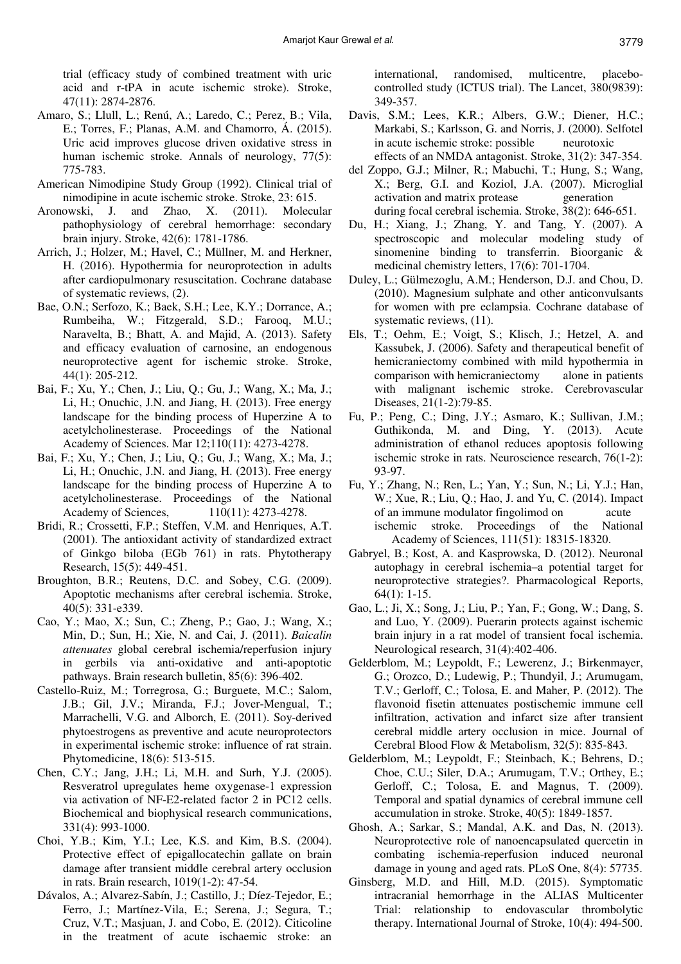trial (efficacy study of combined treatment with uric acid and r-tPA in acute ischemic stroke). Stroke, 47(11): 2874-2876.

- Amaro, S.; Llull, L.; Renú, A.; Laredo, C.; Perez, B.; Vila, E.; Torres, F.; Planas, A.M. and Chamorro, Á. (2015). Uric acid improves glucose driven oxidative stress in human ischemic stroke. Annals of neurology, 77(5): 775-783.
- American Nimodipine Study Group (1992). Clinical trial of nimodipine in acute ischemic stroke. Stroke, 23: 615.
- Aronowski, J. and Zhao, X. (2011). Molecular pathophysiology of cerebral hemorrhage: secondary brain injury. Stroke, 42(6): 1781-1786.
- Arrich, J.; Holzer, M.; Havel, C.; Müllner, M. and Herkner, H. (2016). Hypothermia for neuroprotection in adults after cardiopulmonary resuscitation. Cochrane database of systematic reviews, (2).
- Bae, O.N.; Serfozo, K.; Baek, S.H.; Lee, K.Y.; Dorrance, A.; Rumbeiha, W.; Fitzgerald, S.D.; Farooq, M.U.; Naravelta, B.; Bhatt, A. and Majid, A. (2013). Safety and efficacy evaluation of carnosine, an endogenous neuroprotective agent for ischemic stroke. Stroke, 44(1): 205-212.
- Bai, F.; Xu, Y.; Chen, J.; Liu, Q.; Gu, J.; Wang, X.; Ma, J.; Li, H.; Onuchic, J.N. and Jiang, H. (2013). Free energy landscape for the binding process of Huperzine A to acetylcholinesterase. Proceedings of the National Academy of Sciences. Mar 12;110(11): 4273-4278.
- Bai, F.; Xu, Y.; Chen, J.; Liu, Q.; Gu, J.; Wang, X.; Ma, J.; Li, H.; Onuchic, J.N. and Jiang, H. (2013). Free energy landscape for the binding process of Huperzine A to acetylcholinesterase. Proceedings of the National Academy of Sciences, 110(11): 4273-4278.
- Bridi, R.; Crossetti, F.P.; Steffen, V.M. and Henriques, A.T. (2001). The antioxidant activity of standardized extract of Ginkgo biloba (EGb 761) in rats. Phytotherapy Research, 15(5): 449-451.
- Broughton, B.R.; Reutens, D.C. and Sobey, C.G. (2009). Apoptotic mechanisms after cerebral ischemia. Stroke, 40(5): 331-e339.
- Cao, Y.; Mao, X.; Sun, C.; Zheng, P.; Gao, J.; Wang, X.; Min, D.; Sun, H.; Xie, N. and Cai, J. (2011). *Baicalin attenuates* global cerebral ischemia/reperfusion injury in gerbils via anti-oxidative and anti-apoptotic pathways. Brain research bulletin, 85(6): 396-402.
- Castello-Ruiz, M.; Torregrosa, G.; Burguete, M.C.; Salom, J.B.; Gil, J.V.; Miranda, F.J.; Jover-Mengual, T.; Marrachelli, V.G. and Alborch, E. (2011). Soy-derived phytoestrogens as preventive and acute neuroprotectors in experimental ischemic stroke: influence of rat strain. Phytomedicine, 18(6): 513-515.
- Chen, C.Y.; Jang, J.H.; Li, M.H. and Surh, Y.J. (2005). Resveratrol upregulates heme oxygenase-1 expression via activation of NF-E2-related factor 2 in PC12 cells. Biochemical and biophysical research communications, 331(4): 993-1000.
- Choi, Y.B.; Kim, Y.I.; Lee, K.S. and Kim, B.S. (2004). Protective effect of epigallocatechin gallate on brain damage after transient middle cerebral artery occlusion in rats. Brain research, 1019(1-2): 47-54.
- Dávalos, A.; Alvarez-Sabín, J.; Castillo, J.; Díez-Tejedor, E.; Ferro, J.; Martínez-Vila, E.; Serena, J.; Segura, T.; Cruz, V.T.; Masjuan, J. and Cobo, E. (2012). Citicoline in the treatment of acute ischaemic stroke: an

international, randomised, multicentre, placebocontrolled study (ICTUS trial). The Lancet, 380(9839): 349-357.

- Davis, S.M.; Lees, K.R.; Albers, G.W.; Diener, H.C.; Markabi, S.; Karlsson, G. and Norris, J. (2000). Selfotel in acute ischemic stroke: possible neurotoxic effects of an NMDA antagonist. Stroke, 31(2): 347-354.
- del Zoppo, G.J.; Milner, R.; Mabuchi, T.; Hung, S.; Wang, X.; Berg, G.I. and Koziol, J.A. (2007). Microglial activation and matrix protease generation during focal cerebral ischemia. Stroke, 38(2): 646-651.
- Du, H.; Xiang, J.; Zhang, Y. and Tang, Y. (2007). A spectroscopic and molecular modeling study of sinomenine binding to transferrin. Bioorganic & medicinal chemistry letters, 17(6): 701-1704.
- Duley, L.; Gülmezoglu, A.M.; Henderson, D.J. and Chou, D. (2010). Magnesium sulphate and other anticonvulsants for women with pre eclampsia. Cochrane database of systematic reviews,  $(11)$ .
- Els, T.; Oehm, E.; Voigt, S.; Klisch, J.; Hetzel, A. and Kassubek, J. (2006). Safety and therapeutical benefit of hemicraniectomy combined with mild hypothermia in comparison with hemicraniectomy alone in patients with malignant ischemic stroke. Cerebrovascular Diseases, 21(1-2):79-85.
- Fu, P.; Peng, C.; Ding, J.Y.; Asmaro, K.; Sullivan, J.M.; Guthikonda, M. and Ding, Y. (2013). Acute administration of ethanol reduces apoptosis following ischemic stroke in rats. Neuroscience research, 76(1-2): 93-97.
- Fu, Y.; Zhang, N.; Ren, L.; Yan, Y.; Sun, N.; Li, Y.J.; Han, W.; Xue, R.; Liu, Q.; Hao, J. and Yu, C. (2014). Impact of an immune modulator fingolimod on acute ischemic stroke. Proceedings of the National Academy of Sciences, 111(51): 18315-18320.
- Gabryel, B.; Kost, A. and Kasprowska, D. (2012). Neuronal autophagy in cerebral ischemia–a potential target for neuroprotective strategies?. Pharmacological Reports, 64(1): 1-15.
- Gao, L.; Ji, X.; Song, J.; Liu, P.; Yan, F.; Gong, W.; Dang, S. and Luo, Y. (2009). Puerarin protects against ischemic brain injury in a rat model of transient focal ischemia. Neurological research, 31(4):402-406.
- Gelderblom, M.; Leypoldt, F.; Lewerenz, J.; Birkenmayer, G.; Orozco, D.; Ludewig, P.; Thundyil, J.; Arumugam, T.V.; Gerloff, C.; Tolosa, E. and Maher, P. (2012). The flavonoid fisetin attenuates postischemic immune cell infiltration, activation and infarct size after transient cerebral middle artery occlusion in mice. Journal of Cerebral Blood Flow & Metabolism, 32(5): 835-843.
- Gelderblom, M.; Leypoldt, F.; Steinbach, K.; Behrens, D.; Choe, C.U.; Siler, D.A.; Arumugam, T.V.; Orthey, E.; Gerloff, C.; Tolosa, E. and Magnus, T. (2009). Temporal and spatial dynamics of cerebral immune cell accumulation in stroke. Stroke, 40(5): 1849-1857.
- Ghosh, A.; Sarkar, S.; Mandal, A.K. and Das, N. (2013). Neuroprotective role of nanoencapsulated quercetin in combating ischemia-reperfusion induced neuronal damage in young and aged rats. PLoS One, 8(4): 57735.
- Ginsberg, M.D. and Hill, M.D. (2015). Symptomatic intracranial hemorrhage in the ALIAS Multicenter Trial: relationship to endovascular thrombolytic therapy. International Journal of Stroke, 10(4): 494-500.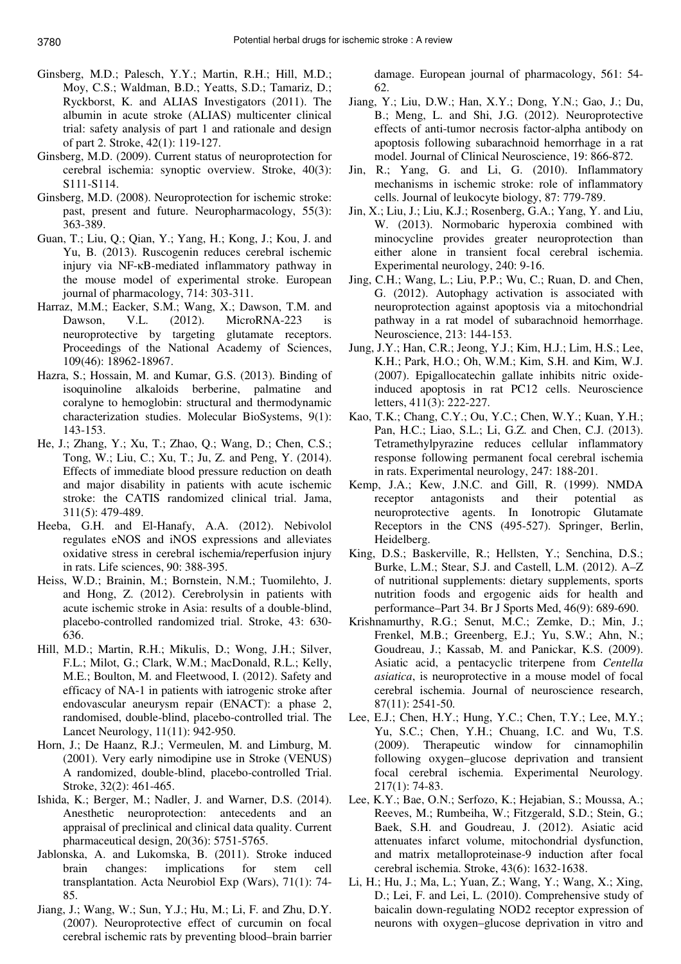- Ginsberg, M.D.; Palesch, Y.Y.; Martin, R.H.; Hill, M.D.; Moy, C.S.; Waldman, B.D.; Yeatts, S.D.; Tamariz, D.; Ryckborst, K. and ALIAS Investigators (2011). The albumin in acute stroke (ALIAS) multicenter clinical trial: safety analysis of part 1 and rationale and design of part 2. Stroke, 42(1): 119-127.
- Ginsberg, M.D. (2009). Current status of neuroprotection for cerebral ischemia: synoptic overview. Stroke, 40(3): S111-S114.
- Ginsberg, M.D. (2008). Neuroprotection for ischemic stroke: past, present and future. Neuropharmacology, 55(3): 363-389.
- Guan, T.; Liu, Q.; Qian, Y.; Yang, H.; Kong, J.; Kou, J. and Yu, B. (2013). Ruscogenin reduces cerebral ischemic injury via NF-κB-mediated inflammatory pathway in the mouse model of experimental stroke. European journal of pharmacology, 714: 303-311.
- Harraz, M.M.; Eacker, S.M.; Wang, X.; Dawson, T.M. and Dawson, V.L. (2012). MicroRNA-223 is neuroprotective by targeting glutamate receptors. Proceedings of the National Academy of Sciences, 109(46): 18962-18967.
- Hazra, S.; Hossain, M. and Kumar, G.S. (2013). Binding of isoquinoline alkaloids berberine, palmatine and coralyne to hemoglobin: structural and thermodynamic characterization studies. Molecular BioSystems, 9(1): 143-153.
- He, J.; Zhang, Y.; Xu, T.; Zhao, Q.; Wang, D.; Chen, C.S.; Tong, W.; Liu, C.; Xu, T.; Ju, Z. and Peng, Y. (2014). Effects of immediate blood pressure reduction on death and major disability in patients with acute ischemic stroke: the CATIS randomized clinical trial. Jama, 311(5): 479-489.
- Heeba, G.H. and El-Hanafy, A.A. (2012). Nebivolol regulates eNOS and iNOS expressions and alleviates oxidative stress in cerebral ischemia/reperfusion injury in rats. Life sciences, 90: 388-395.
- Heiss, W.D.; Brainin, M.; Bornstein, N.M.; Tuomilehto, J. and Hong, Z. (2012). Cerebrolysin in patients with acute ischemic stroke in Asia: results of a double-blind, placebo-controlled randomized trial. Stroke, 43: 630- 636.
- Hill, M.D.; Martin, R.H.; Mikulis, D.; Wong, J.H.; Silver, F.L.; Milot, G.; Clark, W.M.; MacDonald, R.L.; Kelly, M.E.; Boulton, M. and Fleetwood, I. (2012). Safety and efficacy of NA-1 in patients with iatrogenic stroke after endovascular aneurysm repair (ENACT): a phase 2, randomised, double-blind, placebo-controlled trial. The Lancet Neurology, 11(11): 942-950.
- Horn, J.; De Haanz, R.J.; Vermeulen, M. and Limburg, M. (2001). Very early nimodipine use in Stroke (VENUS) A randomized, double-blind, placebo-controlled Trial. Stroke, 32(2): 461-465.
- Ishida, K.; Berger, M.; Nadler, J. and Warner, D.S. (2014). Anesthetic neuroprotection: antecedents and an appraisal of preclinical and clinical data quality. Current pharmaceutical design, 20(36): 5751-5765.
- Jablonska, A. and Lukomska, B. (2011). Stroke induced brain changes: implications for stem cell transplantation. Acta Neurobiol Exp (Wars), 71(1): 74- 85.
- Jiang, J.; Wang, W.; Sun, Y.J.; Hu, M.; Li, F. and Zhu, D.Y. (2007). Neuroprotective effect of curcumin on focal cerebral ischemic rats by preventing blood–brain barrier

damage. European journal of pharmacology, 561: 54- 62.

- Jiang, Y.; Liu, D.W.; Han, X.Y.; Dong, Y.N.; Gao, J.; Du, B.; Meng, L. and Shi, J.G. (2012). Neuroprotective effects of anti-tumor necrosis factor-alpha antibody on apoptosis following subarachnoid hemorrhage in a rat model. Journal of Clinical Neuroscience, 19: 866-872.
- Jin, R.; Yang, G. and Li, G. (2010). Inflammatory mechanisms in ischemic stroke: role of inflammatory cells. Journal of leukocyte biology, 87: 779-789.
- Jin, X.; Liu, J.; Liu, K.J.; Rosenberg, G.A.; Yang, Y. and Liu, W. (2013). Normobaric hyperoxia combined with minocycline provides greater neuroprotection than either alone in transient focal cerebral ischemia. Experimental neurology, 240: 9-16.
- Jing, C.H.; Wang, L.; Liu, P.P.; Wu, C.; Ruan, D. and Chen, G. (2012). Autophagy activation is associated with neuroprotection against apoptosis via a mitochondrial pathway in a rat model of subarachnoid hemorrhage. Neuroscience, 213: 144-153.
- Jung, J.Y.; Han, C.R.; Jeong, Y.J.; Kim, H.J.; Lim, H.S.; Lee, K.H.; Park, H.O.; Oh, W.M.; Kim, S.H. and Kim, W.J. (2007). Epigallocatechin gallate inhibits nitric oxideinduced apoptosis in rat PC12 cells. Neuroscience letters, 411(3): 222-227.
- Kao, T.K.; Chang, C.Y.; Ou, Y.C.; Chen, W.Y.; Kuan, Y.H.; Pan, H.C.; Liao, S.L.; Li, G.Z. and Chen, C.J. (2013). Tetramethylpyrazine reduces cellular inflammatory response following permanent focal cerebral ischemia in rats. Experimental neurology, 247: 188-201.
- Kemp, J.A.; Kew, J.N.C. and Gill, R. (1999). NMDA receptor antagonists and their potential as neuroprotective agents. In Ionotropic Glutamate Receptors in the CNS (495-527). Springer, Berlin, Heidelberg.
- King, D.S.; Baskerville, R.; Hellsten, Y.; Senchina, D.S.; Burke, L.M.; Stear, S.J. and Castell, L.M. (2012). A–Z of nutritional supplements: dietary supplements, sports nutrition foods and ergogenic aids for health and performance–Part 34. Br J Sports Med, 46(9): 689-690.
- Krishnamurthy, R.G.; Senut, M.C.; Zemke, D.; Min, J.; Frenkel, M.B.; Greenberg, E.J.; Yu, S.W.; Ahn, N.; Goudreau, J.; Kassab, M. and Panickar, K.S. (2009). Asiatic acid, a pentacyclic triterpene from *Centella asiatica*, is neuroprotective in a mouse model of focal cerebral ischemia. Journal of neuroscience research, 87(11): 2541-50.
- Lee, E.J.; Chen, H.Y.; Hung, Y.C.; Chen, T.Y.; Lee, M.Y.; Yu, S.C.; Chen, Y.H.; Chuang, I.C. and Wu, T.S. (2009). Therapeutic window for cinnamophilin following oxygen–glucose deprivation and transient focal cerebral ischemia. Experimental Neurology. 217(1): 74-83.
- Lee, K.Y.; Bae, O.N.; Serfozo, K.; Hejabian, S.; Moussa, A.; Reeves, M.; Rumbeiha, W.; Fitzgerald, S.D.; Stein, G.; Baek, S.H. and Goudreau, J. (2012). Asiatic acid attenuates infarct volume, mitochondrial dysfunction, and matrix metalloproteinase-9 induction after focal cerebral ischemia. Stroke, 43(6): 1632-1638.
- Li, H.; Hu, J.; Ma, L.; Yuan, Z.; Wang, Y.; Wang, X.; Xing, D.; Lei, F. and Lei, L. (2010). Comprehensive study of baicalin down-regulating NOD2 receptor expression of neurons with oxygen–glucose deprivation in vitro and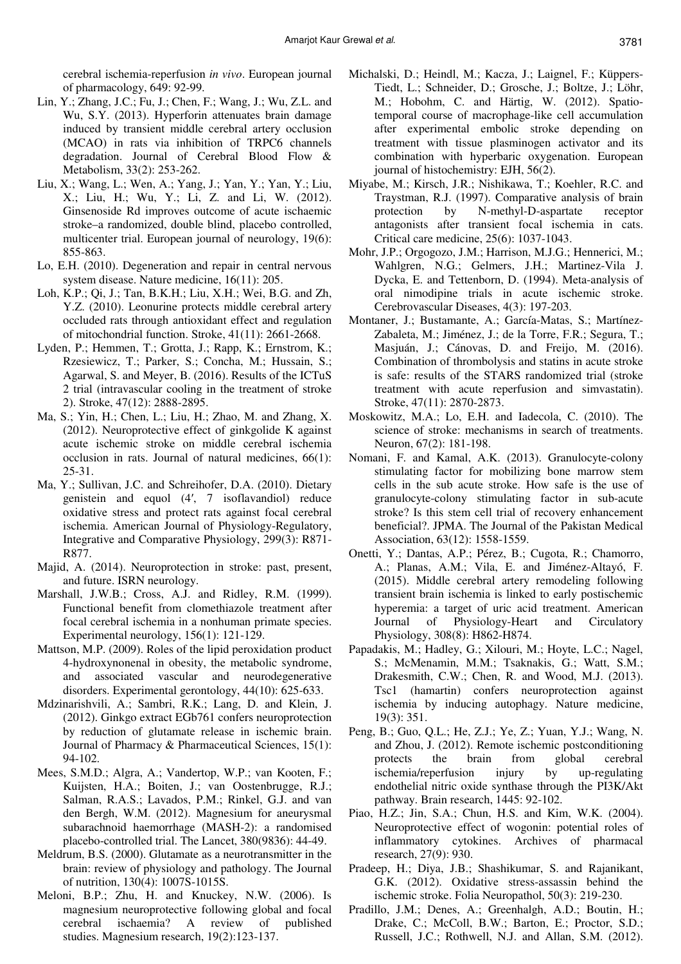cerebral ischemia-reperfusion *in vivo*. European journal of pharmacology, 649: 92-99.

- Lin, Y.; Zhang, J.C.; Fu, J.; Chen, F.; Wang, J.; Wu, Z.L. and Wu, S.Y. (2013). Hyperforin attenuates brain damage induced by transient middle cerebral artery occlusion (MCAO) in rats via inhibition of TRPC6 channels degradation. Journal of Cerebral Blood Flow & Metabolism, 33(2): 253-262.
- Liu, X.; Wang, L.; Wen, A.; Yang, J.; Yan, Y.; Yan, Y.; Liu, X.; Liu, H.; Wu, Y.; Li, Z. and Li, W. (2012). Ginsenoside Rd improves outcome of acute ischaemic stroke–a randomized, double blind, placebo controlled, multicenter trial. European journal of neurology, 19(6): 855-863.
- Lo, E.H. (2010). Degeneration and repair in central nervous system disease. Nature medicine, 16(11): 205.
- Loh, K.P.; Qi, J.; Tan, B.K.H.; Liu, X.H.; Wei, B.G. and Zh, Y.Z. (2010). Leonurine protects middle cerebral artery occluded rats through antioxidant effect and regulation of mitochondrial function. Stroke, 41(11): 2661-2668.
- Lyden, P.; Hemmen, T.; Grotta, J.; Rapp, K.; Ernstrom, K.; Rzesiewicz, T.; Parker, S.; Concha, M.; Hussain, S.; Agarwal, S. and Meyer, B. (2016). Results of the ICTuS 2 trial (intravascular cooling in the treatment of stroke 2). Stroke, 47(12): 2888-2895.
- Ma, S.; Yin, H.; Chen, L.; Liu, H.; Zhao, M. and Zhang, X. (2012). Neuroprotective effect of ginkgolide K against acute ischemic stroke on middle cerebral ischemia occlusion in rats. Journal of natural medicines, 66(1): 25-31.
- Ma, Y.; Sullivan, J.C. and Schreihofer, D.A. (2010). Dietary genistein and equol (4′, 7 isoflavandiol) reduce oxidative stress and protect rats against focal cerebral ischemia. American Journal of Physiology-Regulatory, Integrative and Comparative Physiology, 299(3): R871- R877.
- Majid, A. (2014). Neuroprotection in stroke: past, present, and future. ISRN neurology.
- Marshall, J.W.B.; Cross, A.J. and Ridley, R.M. (1999). Functional benefit from clomethiazole treatment after focal cerebral ischemia in a nonhuman primate species. Experimental neurology, 156(1): 121-129.
- Mattson, M.P. (2009). Roles of the lipid peroxidation product 4-hydroxynonenal in obesity, the metabolic syndrome, and associated vascular and neurodegenerative disorders. Experimental gerontology, 44(10): 625-633.
- Mdzinarishvili, A.; Sambri, R.K.; Lang, D. and Klein, J. (2012). Ginkgo extract EGb761 confers neuroprotection by reduction of glutamate release in ischemic brain. Journal of Pharmacy & Pharmaceutical Sciences, 15(1): 94-102.
- Mees, S.M.D.; Algra, A.; Vandertop, W.P.; van Kooten, F.; Kuijsten, H.A.; Boiten, J.; van Oostenbrugge, R.J.; Salman, R.A.S.; Lavados, P.M.; Rinkel, G.J. and van den Bergh, W.M. (2012). Magnesium for aneurysmal subarachnoid haemorrhage (MASH-2): a randomised placebo-controlled trial. The Lancet, 380(9836): 44-49.
- Meldrum, B.S. (2000). Glutamate as a neurotransmitter in the brain: review of physiology and pathology. The Journal of nutrition, 130(4): 1007S-1015S.
- Meloni, B.P.; Zhu, H. and Knuckey, N.W. (2006). Is magnesium neuroprotective following global and focal cerebral ischaemia? A review of published studies. Magnesium research, 19(2):123-137.
- Michalski, D.; Heindl, M.; Kacza, J.; Laignel, F.; Küppers-Tiedt, L.; Schneider, D.; Grosche, J.; Boltze, J.; Löhr, M.; Hobohm, C. and Härtig, W. (2012). Spatiotemporal course of macrophage-like cell accumulation after experimental embolic stroke depending on treatment with tissue plasminogen activator and its combination with hyperbaric oxygenation. European journal of histochemistry: EJH, 56(2).
- Miyabe, M.; Kirsch, J.R.; Nishikawa, T.; Koehler, R.C. and Traystman, R.J. (1997). Comparative analysis of brain protection by N-methyl-D-aspartate receptor antagonists after transient focal ischemia in cats. Critical care medicine, 25(6): 1037-1043.
- Mohr, J.P.; Orgogozo, J.M.; Harrison, M.J.G.; Hennerici, M.; Wahlgren, N.G.; Gelmers, J.H.; Martinez-Vila J. Dycka, E. and Tettenborn, D. (1994). Meta-analysis of oral nimodipine trials in acute ischemic stroke. Cerebrovascular Diseases, 4(3): 197-203.
- Montaner, J.; Bustamante, A.; García-Matas, S.; Martínez-Zabaleta, M.; Jiménez, J.; de la Torre, F.R.; Segura, T.; Masjuán, J.; Cánovas, D. and Freijo, M. (2016). Combination of thrombolysis and statins in acute stroke is safe: results of the STARS randomized trial (stroke treatment with acute reperfusion and simvastatin). Stroke, 47(11): 2870-2873.
- Moskowitz, M.A.; Lo, E.H. and Iadecola, C. (2010). The science of stroke: mechanisms in search of treatments. Neuron, 67(2): 181-198.
- Nomani, F. and Kamal, A.K. (2013). Granulocyte-colony stimulating factor for mobilizing bone marrow stem cells in the sub acute stroke. How safe is the use of granulocyte-colony stimulating factor in sub-acute stroke? Is this stem cell trial of recovery enhancement beneficial?. JPMA. The Journal of the Pakistan Medical Association, 63(12): 1558-1559.
- Onetti, Y.; Dantas, A.P.; Pérez, B.; Cugota, R.; Chamorro, A.; Planas, A.M.; Vila, E. and Jiménez-Altayó, F. (2015). Middle cerebral artery remodeling following transient brain ischemia is linked to early postischemic hyperemia: a target of uric acid treatment. American Journal of Physiology-Heart and Circulatory Physiology, 308(8): H862-H874.
- Papadakis, M.; Hadley, G.; Xilouri, M.; Hoyte, L.C.; Nagel, S.; McMenamin, M.M.; Tsaknakis, G.; Watt, S.M.; Drakesmith, C.W.; Chen, R. and Wood, M.J. (2013). Tsc1 (hamartin) confers neuroprotection against ischemia by inducing autophagy. Nature medicine, 19(3): 351.
- Peng, B.; Guo, Q.L.; He, Z.J.; Ye, Z.; Yuan, Y.J.; Wang, N. and Zhou, J. (2012). Remote ischemic postconditioning<br>protects the brain from global cerebral protects the brain from global cerebral ischemia/reperfusion injury by up-regulating endothelial nitric oxide synthase through the PI3K/Akt pathway. Brain research, 1445: 92-102.
- Piao, H.Z.; Jin, S.A.; Chun, H.S. and Kim, W.K. (2004). Neuroprotective effect of wogonin: potential roles of inflammatory cytokines. Archives of pharmacal research, 27(9): 930.
- Pradeep, H.; Diya, J.B.; Shashikumar, S. and Rajanikant, G.K. (2012). Oxidative stress-assassin behind the ischemic stroke. Folia Neuropathol, 50(3): 219-230.
- Pradillo, J.M.; Denes, A.; Greenhalgh, A.D.; Boutin, H.; Drake, C.; McColl, B.W.; Barton, E.; Proctor, S.D.; Russell, J.C.; Rothwell, N.J. and Allan, S.M. (2012).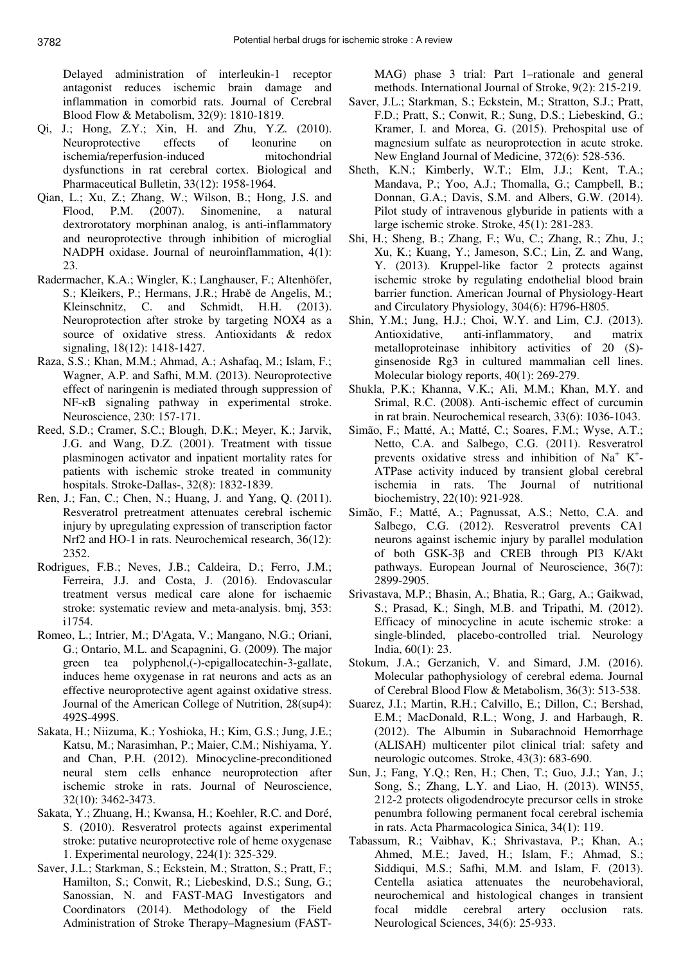Delayed administration of interleukin-1 receptor antagonist reduces ischemic brain damage and inflammation in comorbid rats. Journal of Cerebral Blood Flow & Metabolism, 32(9): 1810-1819.

- Qi, J.; Hong, Z.Y.; Xin, H. and Zhu, Y.Z. (2010). Neuroprotective effects of leonurine on ischemia/reperfusion-induced mitochondrial dysfunctions in rat cerebral cortex. Biological and Pharmaceutical Bulletin, 33(12): 1958-1964.
- Qian, L.; Xu, Z.; Zhang, W.; Wilson, B.; Hong, J.S. and Flood, P.M. (2007). Sinomenine, a natural dextrorotatory morphinan analog, is anti-inflammatory and neuroprotective through inhibition of microglial NADPH oxidase. Journal of neuroinflammation, 4(1): 23.
- Radermacher, K.A.; Wingler, K.; Langhauser, F.; Altenhöfer, S.; Kleikers, P.; Hermans, J.R.; Hrabě de Angelis, M.; Kleinschnitz, C. and Schmidt, H.H. (2013). Neuroprotection after stroke by targeting NOX4 as a source of oxidative stress. Antioxidants & redox signaling, 18(12): 1418-1427.
- Raza, S.S.; Khan, M.M.; Ahmad, A.; Ashafaq, M.; Islam, F.; Wagner, A.P. and Safhi, M.M. (2013). Neuroprotective effect of naringenin is mediated through suppression of NF-κB signaling pathway in experimental stroke. Neuroscience, 230: 157-171.
- Reed, S.D.; Cramer, S.C.; Blough, D.K.; Meyer, K.; Jarvik, J.G. and Wang, D.Z. (2001). Treatment with tissue plasminogen activator and inpatient mortality rates for patients with ischemic stroke treated in community hospitals. Stroke-Dallas-, 32(8): 1832-1839.
- Ren, J.; Fan, C.; Chen, N.; Huang, J. and Yang, Q. (2011). Resveratrol pretreatment attenuates cerebral ischemic injury by upregulating expression of transcription factor Nrf2 and HO-1 in rats. Neurochemical research, 36(12): 2352.
- Rodrigues, F.B.; Neves, J.B.; Caldeira, D.; Ferro, J.M.; Ferreira, J.J. and Costa, J. (2016). Endovascular treatment versus medical care alone for ischaemic stroke: systematic review and meta-analysis. bmj, 353: i1754.
- Romeo, L.; Intrier, M.; D'Agata, V.; Mangano, N.G.; Oriani, G.; Ontario, M.L. and Scapagnini, G. (2009). The major green tea polyphenol,(-)-epigallocatechin-3-gallate, induces heme oxygenase in rat neurons and acts as an effective neuroprotective agent against oxidative stress. Journal of the American College of Nutrition, 28(sup4): 492S-499S.
- Sakata, H.; Niizuma, K.; Yoshioka, H.; Kim, G.S.; Jung, J.E.; Katsu, M.; Narasimhan, P.; Maier, C.M.; Nishiyama, Y. and Chan, P.H. (2012). Minocycline-preconditioned neural stem cells enhance neuroprotection after ischemic stroke in rats. Journal of Neuroscience, 32(10): 3462-3473.
- Sakata, Y.; Zhuang, H.; Kwansa, H.; Koehler, R.C. and Doré, S. (2010). Resveratrol protects against experimental stroke: putative neuroprotective role of heme oxygenase 1. Experimental neurology, 224(1): 325-329.
- Saver, J.L.; Starkman, S.; Eckstein, M.; Stratton, S.; Pratt, F.; Hamilton, S.; Conwit, R.; Liebeskind, D.S.; Sung, G.; Sanossian, N. and FAST-MAG Investigators and Coordinators (2014). Methodology of the Field Administration of Stroke Therapy–Magnesium (FAST-

MAG) phase 3 trial: Part 1–rationale and general methods. International Journal of Stroke, 9(2): 215-219.

- Saver, J.L.; Starkman, S.; Eckstein, M.; Stratton, S.J.; Pratt, F.D.; Pratt, S.; Conwit, R.; Sung, D.S.; Liebeskind, G.; Kramer, I. and Morea, G. (2015). Prehospital use of magnesium sulfate as neuroprotection in acute stroke. New England Journal of Medicine, 372(6): 528-536.
- Sheth, K.N.; Kimberly, W.T.; Elm, J.J.; Kent, T.A.; Mandava, P.; Yoo, A.J.; Thomalla, G.; Campbell, B.; Donnan, G.A.; Davis, S.M. and Albers, G.W. (2014). Pilot study of intravenous glyburide in patients with a large ischemic stroke. Stroke, 45(1): 281-283.
- Shi, H.; Sheng, B.; Zhang, F.; Wu, C.; Zhang, R.; Zhu, J.; Xu, K.; Kuang, Y.; Jameson, S.C.; Lin, Z. and Wang, Y. (2013). Kruppel-like factor 2 protects against ischemic stroke by regulating endothelial blood brain barrier function. American Journal of Physiology-Heart and Circulatory Physiology, 304(6): H796-H805.
- Shin, Y.M.; Jung, H.J.; Choi, W.Y. and Lim, C.J. (2013). Antioxidative, anti-inflammatory, and matrix metalloproteinase inhibitory activities of 20 (S) ginsenoside Rg3 in cultured mammalian cell lines. Molecular biology reports,  $40(1)$ : 269-279.
- Shukla, P.K.; Khanna, V.K.; Ali, M.M.; Khan, M.Y. and Srimal, R.C. (2008). Anti-ischemic effect of curcumin in rat brain. Neurochemical research, 33(6): 1036-1043.
- Simão, F.; Matté, A.; Matté, C.; Soares, F.M.; Wyse, A.T.; Netto, C.A. and Salbego, C.G. (2011). Resveratrol prevents oxidative stress and inhibition of  $Na^+ K^+$ -ATPase activity induced by transient global cerebral ischemia in rats. The Journal of nutritional biochemistry, 22(10): 921-928.
- Simão, F.; Matté, A.; Pagnussat, A.S.; Netto, C.A. and Salbego, C.G. (2012). Resveratrol prevents CA1 neurons against ischemic injury by parallel modulation of both GSK-3β and CREB through PI3 K/Akt pathways. European Journal of Neuroscience, 36(7): 2899-2905.
- Srivastava, M.P.; Bhasin, A.; Bhatia, R.; Garg, A.; Gaikwad, S.; Prasad, K.; Singh, M.B. and Tripathi, M. (2012). Efficacy of minocycline in acute ischemic stroke: a single-blinded, placebo-controlled trial. Neurology India, 60(1): 23.
- Stokum, J.A.; Gerzanich, V. and Simard, J.M. (2016). Molecular pathophysiology of cerebral edema. Journal of Cerebral Blood Flow & Metabolism, 36(3): 513-538.
- Suarez, J.I.; Martin, R.H.; Calvillo, E.; Dillon, C.; Bershad, E.M.; MacDonald, R.L.; Wong, J. and Harbaugh, R. (2012). The Albumin in Subarachnoid Hemorrhage (ALISAH) multicenter pilot clinical trial: safety and neurologic outcomes. Stroke, 43(3): 683-690.
- Sun, J.; Fang, Y.Q.; Ren, H.; Chen, T.; Guo, J.J.; Yan, J.; Song, S.; Zhang, L.Y. and Liao, H. (2013). WIN55, 212-2 protects oligodendrocyte precursor cells in stroke penumbra following permanent focal cerebral ischemia in rats. Acta Pharmacologica Sinica, 34(1): 119.
- Tabassum, R.; Vaibhav, K.; Shrivastava, P.; Khan, A.; Ahmed, M.E.; Javed, H.; Islam, F.; Ahmad, S.; Siddiqui, M.S.; Safhi, M.M. and Islam, F. (2013). Centella asiatica attenuates the neurobehavioral, neurochemical and histological changes in transient focal middle cerebral artery occlusion rats. Neurological Sciences, 34(6): 25-933.